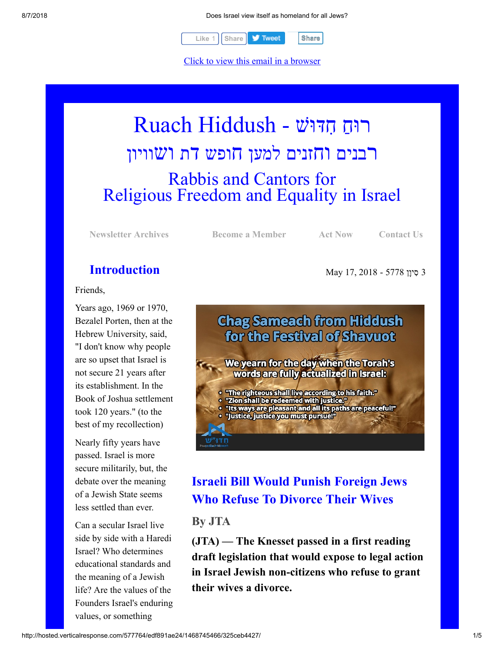

[Click to view this email in a browser](http://hosted.verticalresponse.com/577764/edf891ae24/TEST/TEST/)

# רוּחַ חִדּוּשׁ - Ruach Hiddush רבנים וחזנים למען חופש דת ושוויון Rabbis and Cantors for Religious Freedom and Equality in Israel

**[Newsletter Archives](http://cts.vresp.com/c/?FreedomofReligionfor/edf891ae24/325ceb4427/858ff55e8a) [Become a Member](http://cts.vresp.com/c/?FreedomofReligionfor/edf891ae24/325ceb4427/c5e2d5b334) [Act Now](http://cts.vresp.com/c/?FreedomofReligionfor/edf891ae24/325ceb4427/0b31d6b8f0) [Contact Us](http://cts.vresp.com/c/?FreedomofReligionfor/edf891ae24/325ceb4427/5fb40a5ccc)**

3 ִס ָיון 5778 - 2018 17, May

### **Introduction**

Friends,

Years ago, 1969 or 1970, Bezalel Porten, then at the Hebrew University, said, "I don't know why people are so upset that Israel is not secure 21 years after its establishment. In the Book of Joshua settlement took 120 years." (to the best of my recollection)

Nearly fifty years have passed. Israel is more secure militarily, but, the debate over the meaning of a Jewish State seems less settled than ever.

Can a secular Israel live side by side with a Haredi Israel? Who determines educational standards and the meaning of a Jewish life? Are the values of the Founders Israel's enduring values, or something



# **Israeli Bill Would Punish Foreign Jews Who Refuse To Divorce Their Wives**

#### **By JTA**

**(JTA) — The Knesset passed in a first reading draft legislation that would expose to legal action in Israel Jewish non-citizens who refuse to grant their wives a divorce.**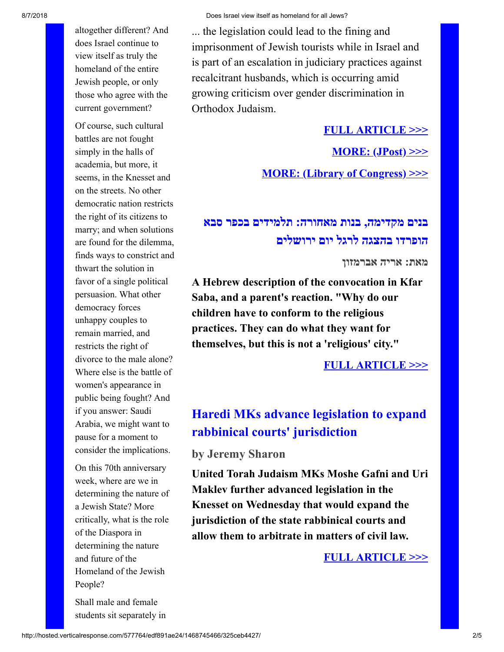altogether different? And does Israel continue to view itself as truly the homeland of the entire Jewish people, or only those who agree with the current government?

Of course, such cultural battles are not fought simply in the halls of academia, but more, it seems, in the Knesset and on the streets. No other democratic nation restricts the right of its citizens to marry; and when solutions are found for the dilemma, finds ways to constrict and thwart the solution in favor of a single political persuasion. What other democracy forces unhappy couples to remain married, and restricts the right of divorce to the male alone? Where else is the battle of women's appearance in public being fought? And if you answer: Saudi Arabia, we might want to pause for a moment to consider the implications.

On this 70th anniversary week, where are we in determining the nature of a Jewish State? More critically, what is the role of the Diaspora in determining the nature and future of the Homeland of the Jewish People?

Shall male and female students sit separately in

... the legislation could lead to the fining and imprisonment of Jewish tourists while in Israel and is part of an escalation in judiciary practices against recalcitrant husbands, which is occurring amid growing criticism over gender discrimination in Orthodox Judaism.

> **[FULL ARTICLE >>>](http://cts.vresp.com/c/?FreedomofReligionfor/edf891ae24/325ceb4427/adc1be06e5) [MORE: \(JPost\) >>>](http://cts.vresp.com/c/?FreedomofReligionfor/edf891ae24/325ceb4427/fd7a7ed02b) [MORE: \(Library of Congress\) >>>](http://cts.vresp.com/c/?FreedomofReligionfor/edf891ae24/325ceb4427/8dc19bfd68)**

# **בנים מקדימה, בנות מאחורה: תלמידים בכפר סבא הופרדו בהצגה לרגל יום ירושלים**

**מאת: אריה אברמזון**

**A Hebrew description of the convocation in Kfar Saba, and a parent's reaction. "Why do our children have to conform to the religious practices. They can do what they want for themselves, but this is not a 'religious' city."**

#### **[FULL ARTICLE >>>](http://cts.vresp.com/c/?FreedomofReligionfor/edf891ae24/325ceb4427/7be3ae6b18)**

# **Haredi MKs advance legislation to expand rabbinical courts' jurisdiction**

**by Jeremy Sharon**

**United Torah Judaism MKs Moshe Gafni and Uri Maklev further advanced legislation in the Knesset on Wednesday that would expand the jurisdiction of the state rabbinical courts and allow them to arbitrate in matters of civil law.**

**[FULL ARTICLE >>>](http://cts.vresp.com/c/?FreedomofReligionfor/edf891ae24/325ceb4427/fdd8e2b816)**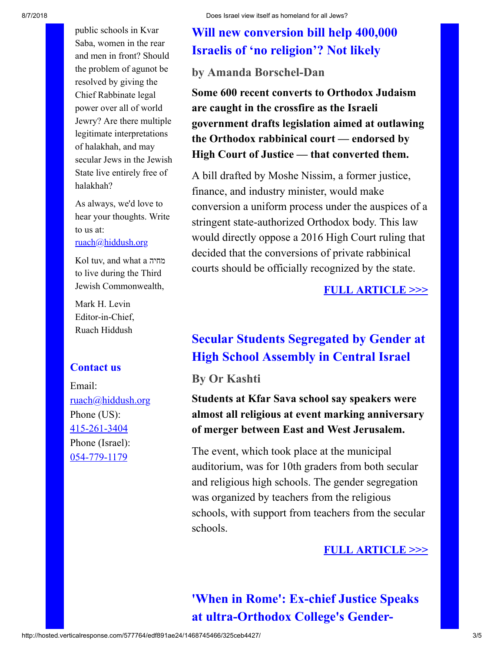public schools in Kvar Saba, women in the rear and men in front? Should the problem of agunot be resolved by giving the Chief Rabbinate legal power over all of world Jewry? Are there multiple legitimate interpretations of halakhah, and may secular Jews in the Jewish State live entirely free of halakhah?

As always, we'd love to hear your thoughts. Write to us at: [ruach@hiddush.org](http://cts.vresp.com/c/?FreedomofReligionfor/edf891ae24/325ceb4427/a2de195185)

Kol tuv, and what a מחיה to live during the Third Jewish Commonwealth,

Mark H. Levin Editor-in-Chief, Ruach Hiddush

#### **Contact us**

Email: [ruach@hiddush.org](http://cts.vresp.com/c/?FreedomofReligionfor/edf891ae24/325ceb4427/cb53325f0d) Phone (US): [415-261-3404](http://cts.vresp.com/c/?FreedomofReligionfor/edf891ae24/325ceb4427/795024ddcb) Phone (Israel): [054-779-1179](http://cts.vresp.com/c/?FreedomofReligionfor/edf891ae24/325ceb4427/2e0991ded9)

# **Will new conversion bill help 400,000 Israelis of 'no religion'? Not likely**

#### **by Amanda Borschel-Dan**

**Some 600 recent converts to Orthodox Judaism are caught in the crossfire as the Israeli government drafts legislation aimed at outlawing the Orthodox rabbinical court — endorsed by High Court of Justice — that converted them.**

A bill drafted by Moshe Nissim, a former justice, finance, and industry minister, would make conversion a uniform process under the auspices of a stringent state-authorized Orthodox body. This law would directly oppose a 2016 High Court ruling that decided that the conversions of private rabbinical courts should be officially recognized by the state.

#### **[FULL ARTICLE >>>](http://cts.vresp.com/c/?FreedomofReligionfor/edf891ae24/325ceb4427/da35a0aa88)**

## **Secular Students Segregated by Gender at High School Assembly in Central Israel**

#### **By Or Kashti**

**Students at Kfar Sava school say speakers were almost all religious at event marking anniversary of merger between East and West Jerusalem.**

The event, which took place at the municipal auditorium, was for 10th graders from both secular and religious high schools. The gender segregation was organized by teachers from the religious schools, with support from teachers from the secular schools.

#### **[FULL ARTICLE >>>](http://cts.vresp.com/c/?FreedomofReligionfor/edf891ae24/325ceb4427/8b929de125)**

**'When in Rome': Ex-chief Justice Speaks at ultra-Orthodox College's Gender-**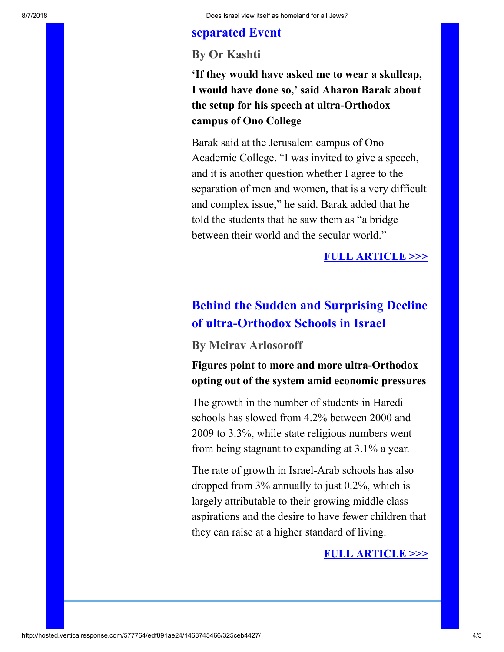#### **separated Event**

**By Or Kashti**

**'If they would have asked me to wear a skullcap, I would have done so,' said Aharon Barak about the setup for his speech at ultra-Orthodox campus of Ono College**

Barak said at the Jerusalem campus of Ono Academic College. "I was invited to give a speech, and it is another question whether I agree to the separation of men and women, that is a very difficult and complex issue," he said. Barak added that he told the students that he saw them as "a bridge between their world and the secular world."

#### **[FULL ARTICLE >>>](http://cts.vresp.com/c/?FreedomofReligionfor/edf891ae24/325ceb4427/0c88b71eed)**

## **Behind the Sudden and Surprising Decline of ultra-Orthodox Schools in Israel**

**By Meirav Arlosoroff**

**Figures point to more and more ultra-Orthodox opting out of the system amid economic pressures**

The growth in the number of students in Haredi schools has slowed from 4.2% between 2000 and 2009 to 3.3%, while state religious numbers went from being stagnant to expanding at 3.1% a year.

The rate of growth in Israel-Arab schools has also dropped from 3% annually to just 0.2%, which is largely attributable to their growing middle class aspirations and the desire to have fewer children that they can raise at a higher standard of living.

#### **[FULL ARTICLE >>>](http://cts.vresp.com/c/?FreedomofReligionfor/edf891ae24/325ceb4427/c0a42651c8)**